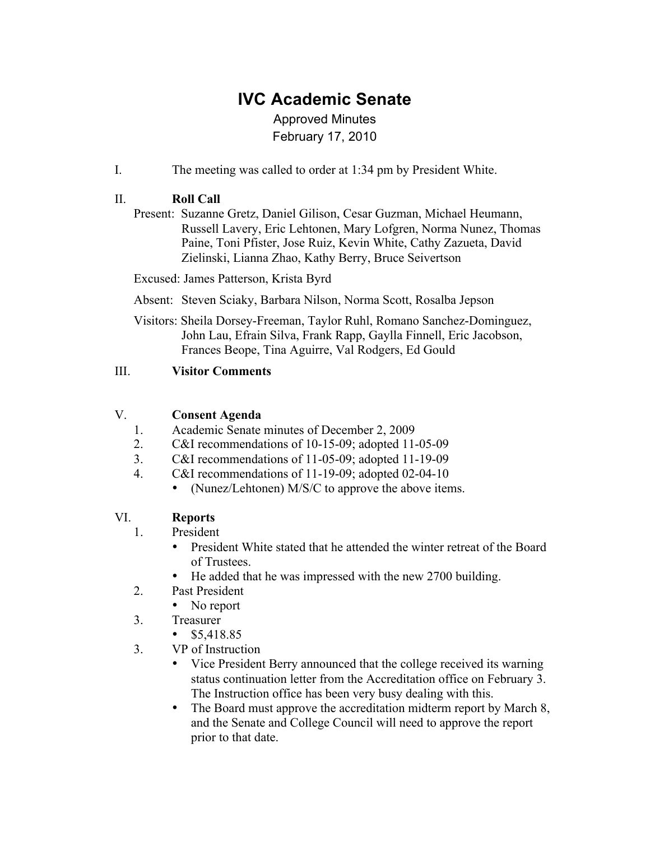# **IVC Academic Senate**

## Approved Minutes February 17, 2010

I. The meeting was called to order at 1:34 pm by President White.

### II. **Roll Call**

Present: Suzanne Gretz, Daniel Gilison, Cesar Guzman, Michael Heumann, Russell Lavery, Eric Lehtonen, Mary Lofgren, Norma Nunez, Thomas Paine, Toni Pfister, Jose Ruiz, Kevin White, Cathy Zazueta, David Zielinski, Lianna Zhao, Kathy Berry, Bruce Seivertson

Excused: James Patterson, Krista Byrd

Absent: Steven Sciaky, Barbara Nilson, Norma Scott, Rosalba Jepson

Visitors: Sheila Dorsey-Freeman, Taylor Ruhl, Romano Sanchez-Dominguez, John Lau, Efrain Silva, Frank Rapp, Gaylla Finnell, Eric Jacobson, Frances Beope, Tina Aguirre, Val Rodgers, Ed Gould

#### III. **Visitor Comments**

#### V. **Consent Agenda**

- 1. Academic Senate minutes of December 2, 2009
- 2. C&I recommendations of 10-15-09; adopted 11-05-09
- 3. C&I recommendations of 11-05-09; adopted 11-19-09
- 4. C&I recommendations of 11-19-09; adopted 02-04-10
	- (Nunez/Lehtonen) M/S/C to approve the above items.

#### VI. **Reports**

- 1. President
	- President White stated that he attended the winter retreat of the Board of Trustees.
	- He added that he was impressed with the new 2700 building.
- 2. Past President
	- No report
- 3. Treasurer
	- $$5,418.85$
- 3. VP of Instruction
	- Vice President Berry announced that the college received its warning status continuation letter from the Accreditation office on February 3. The Instruction office has been very busy dealing with this.
	- The Board must approve the accreditation midterm report by March 8, and the Senate and College Council will need to approve the report prior to that date.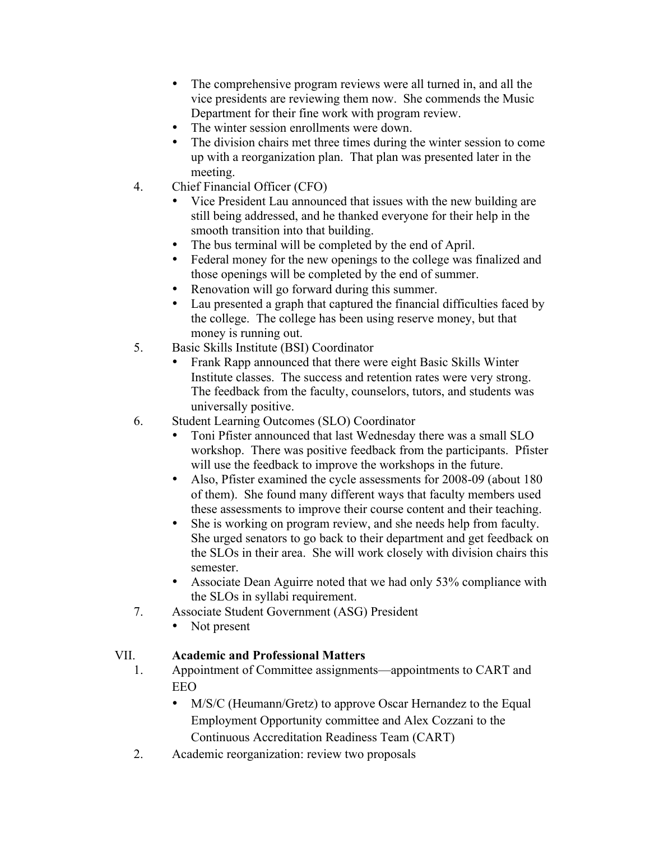- The comprehensive program reviews were all turned in, and all the vice presidents are reviewing them now. She commends the Music Department for their fine work with program review.
- The winter session enrollments were down.
- The division chairs met three times during the winter session to come up with a reorganization plan. That plan was presented later in the meeting.
- 4. Chief Financial Officer (CFO)
	- Vice President Lau announced that issues with the new building are still being addressed, and he thanked everyone for their help in the smooth transition into that building.
	- The bus terminal will be completed by the end of April.
	- Federal money for the new openings to the college was finalized and those openings will be completed by the end of summer.
	- Renovation will go forward during this summer.
	- Lau presented a graph that captured the financial difficulties faced by the college. The college has been using reserve money, but that money is running out.
- 5. Basic Skills Institute (BSI) Coordinator
	- Frank Rapp announced that there were eight Basic Skills Winter Institute classes. The success and retention rates were very strong. The feedback from the faculty, counselors, tutors, and students was universally positive.
- 6. Student Learning Outcomes (SLO) Coordinator
	- Toni Pfister announced that last Wednesday there was a small SLO workshop. There was positive feedback from the participants. Pfister will use the feedback to improve the workshops in the future.
	- Also, Pfister examined the cycle assessments for 2008-09 (about 180 of them). She found many different ways that faculty members used these assessments to improve their course content and their teaching.
	- She is working on program review, and she needs help from faculty. She urged senators to go back to their department and get feedback on the SLOs in their area. She will work closely with division chairs this semester.
	- Associate Dean Aguirre noted that we had only 53% compliance with the SLOs in syllabi requirement.
- 7. Associate Student Government (ASG) President
	- Not present

#### VII. **Academic and Professional Matters**

- 1. Appointment of Committee assignments—appointments to CART and EEO
	- M/S/C (Heumann/Gretz) to approve Oscar Hernandez to the Equal Employment Opportunity committee and Alex Cozzani to the Continuous Accreditation Readiness Team (CART)
- 2. Academic reorganization: review two proposals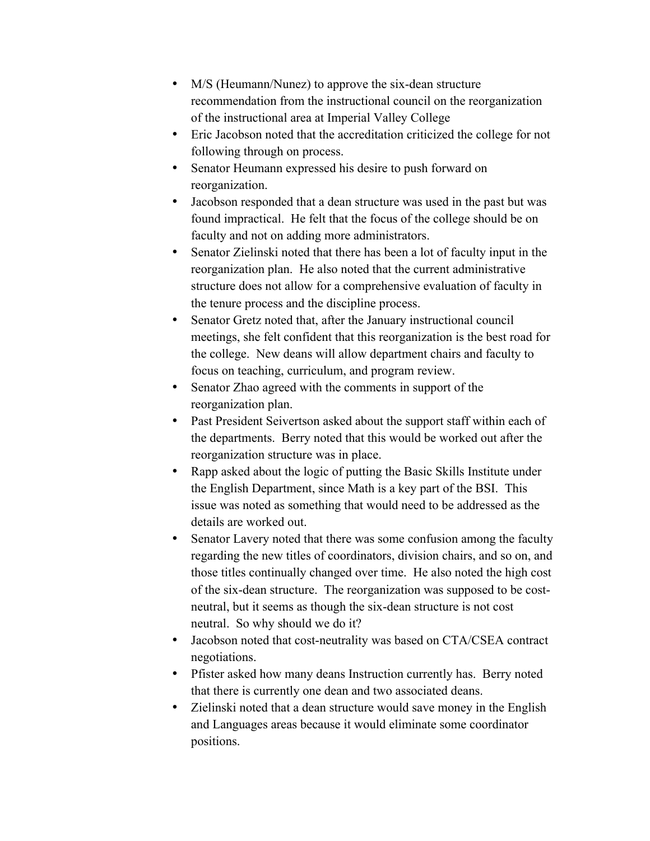- M/S (Heumann/Nunez) to approve the six-dean structure recommendation from the instructional council on the reorganization of the instructional area at Imperial Valley College
- Eric Jacobson noted that the accreditation criticized the college for not following through on process.
- Senator Heumann expressed his desire to push forward on reorganization.
- Jacobson responded that a dean structure was used in the past but was found impractical. He felt that the focus of the college should be on faculty and not on adding more administrators.
- Senator Zielinski noted that there has been a lot of faculty input in the reorganization plan. He also noted that the current administrative structure does not allow for a comprehensive evaluation of faculty in the tenure process and the discipline process.
- Senator Gretz noted that, after the January instructional council meetings, she felt confident that this reorganization is the best road for the college. New deans will allow department chairs and faculty to focus on teaching, curriculum, and program review.
- Senator Zhao agreed with the comments in support of the reorganization plan.
- Past President Seivertson asked about the support staff within each of the departments. Berry noted that this would be worked out after the reorganization structure was in place.
- Rapp asked about the logic of putting the Basic Skills Institute under the English Department, since Math is a key part of the BSI. This issue was noted as something that would need to be addressed as the details are worked out.
- Senator Lavery noted that there was some confusion among the faculty regarding the new titles of coordinators, division chairs, and so on, and those titles continually changed over time. He also noted the high cost of the six-dean structure. The reorganization was supposed to be costneutral, but it seems as though the six-dean structure is not cost neutral. So why should we do it?
- Jacobson noted that cost-neutrality was based on CTA/CSEA contract negotiations.
- Pfister asked how many deans Instruction currently has. Berry noted that there is currently one dean and two associated deans.
- Zielinski noted that a dean structure would save money in the English and Languages areas because it would eliminate some coordinator positions.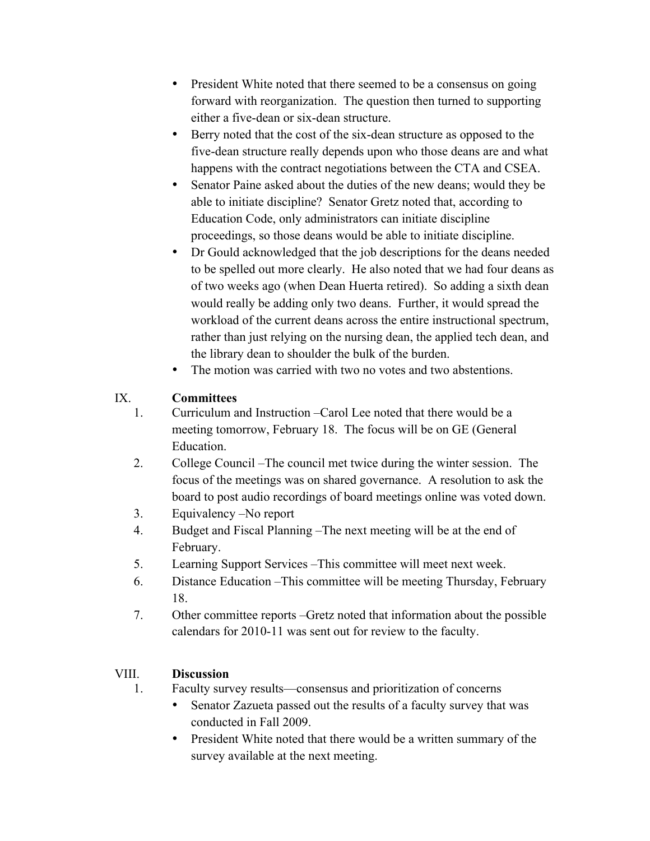- President White noted that there seemed to be a consensus on going forward with reorganization. The question then turned to supporting either a five-dean or six-dean structure.
- Berry noted that the cost of the six-dean structure as opposed to the five-dean structure really depends upon who those deans are and what happens with the contract negotiations between the CTA and CSEA.
- Senator Paine asked about the duties of the new deans; would they be able to initiate discipline? Senator Gretz noted that, according to Education Code, only administrators can initiate discipline proceedings, so those deans would be able to initiate discipline.
- Dr Gould acknowledged that the job descriptions for the deans needed to be spelled out more clearly. He also noted that we had four deans as of two weeks ago (when Dean Huerta retired). So adding a sixth dean would really be adding only two deans. Further, it would spread the workload of the current deans across the entire instructional spectrum, rather than just relying on the nursing dean, the applied tech dean, and the library dean to shoulder the bulk of the burden.
- The motion was carried with two no votes and two abstentions.

## IX. **Committees**

- 1. Curriculum and Instruction –Carol Lee noted that there would be a meeting tomorrow, February 18. The focus will be on GE (General Education.
- 2. College Council –The council met twice during the winter session. The focus of the meetings was on shared governance. A resolution to ask the board to post audio recordings of board meetings online was voted down.
- 3. Equivalency –No report
- 4. Budget and Fiscal Planning –The next meeting will be at the end of February.
- 5. Learning Support Services –This committee will meet next week.
- 6. Distance Education –This committee will be meeting Thursday, February 18.
- 7. Other committee reports –Gretz noted that information about the possible calendars for 2010-11 was sent out for review to the faculty.

## VIII. **Discussion**

- 1. Faculty survey results—consensus and prioritization of concerns
	- Senator Zazueta passed out the results of a faculty survey that was conducted in Fall 2009.
	- President White noted that there would be a written summary of the survey available at the next meeting.